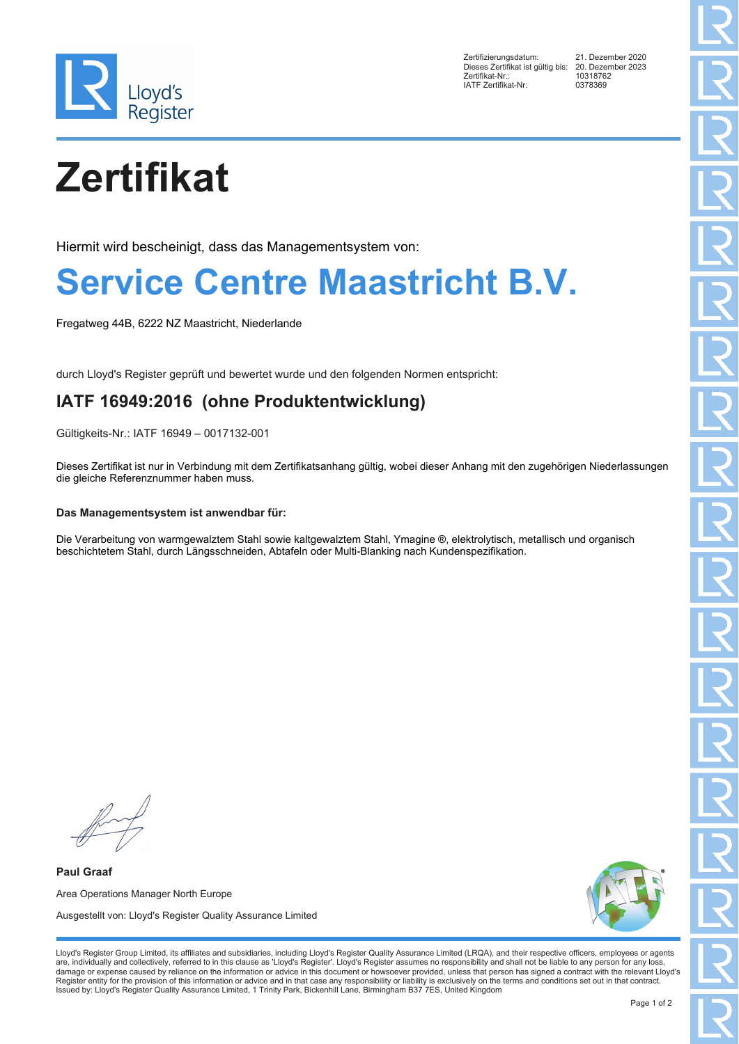

Zertifizierungsdatum: 21. Dezember 2020 Dieses Zertifikat ist gültig bis: 20. Dezem<br>Zertifikat-Nr.: 10318762 Exertifikat-Nr.: 1031876<br>
IATE Zertifikat-Nr: 10378369 IATF Zertifikat-Nr:

# **Zertifikat**

Hiermit wird bescheinigt, dass das Managementsystem von:

### **Service Centre Maastricht B.V.**

Fregatweg 44B, 6222 NZ Maastricht, Niederlande

durch Lloyd's Register geprüft und bewertet wurde und den folgenden Normen entspricht:

### **IATF 16949:2016 (ohne Produktentwicklung)**

Gültigkeits-Nr.: IATF 16949 – 0017132-001

Dieses Zertifikat ist nur in Verbindung mit dem Zertifikatsanhang gültig, wobei dieser Anhang mit den zugehörigen Niederlassungen die gleiche Referenznummer haben muss.

#### **Das Managementsystem ist anwendbar für:**

Die Verarbeitung von warmgewalztem Stahl sowie kaltgewalztem Stahl, Ymagine ®, elektrolytisch, metallisch und organisch beschichtetem Stahl, durch Längsschneiden, Abtafeln oder Multi-Blanking nach Kundenspezifikation.

**Paul Graaf** Area Operations Manager North Europe Ausgestellt von: Lloyd's Register Quality Assurance Limited



Lloyd's Register Group Limited, its affiliates and subsidiaries, including Lloyd's Register Quality Assurance Limited (LRQA), and their respective officers, employees or agents are, individually and collectively, referred to in this clause as 'Lloyd's Register'. Lloyd's Register assumes no responsibility and shall not be liable to any person for any loss,<br>damage or expense caused by reliance on t Register entity for the provision of this information or advice and in that case any responsibility or liability is exclusively on the terms and conditions set out in that contract. Issued by: Lloyd's Register Quality Assurance Limited, 1 Trinity Park, Bickenhill Lane, Birmingham B37 7ES, United Kingdom